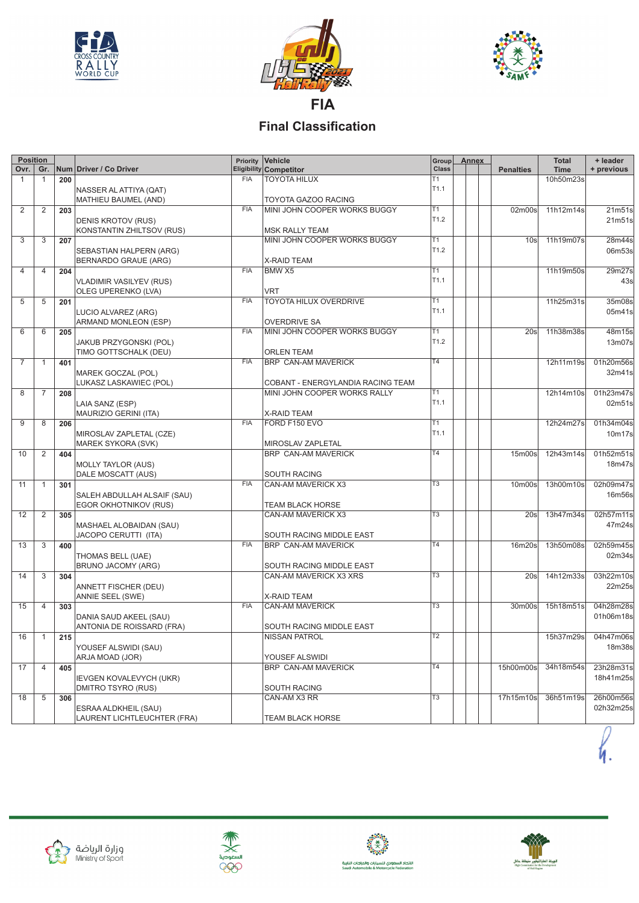





## **Final Classification**

| Gr.<br><b>Eligibility Competitor</b><br>Class<br>Ovr.  <br>Num Driver / Co Driver<br><b>Time</b><br><b>Penalties</b><br>TOYOTA HILUX<br>T1<br><b>FIA</b><br>10h50m23s<br>1<br>1<br>200<br>T <sub>1.1</sub><br>NASSER AL ATTIYA (QAT)<br>TOYOTA GAZOO RACING<br>MATHIEU BAUMEL (AND)<br>MINI JOHN COOPER WORKS BUGGY<br>2<br><b>FIA</b><br>T1<br>02m00s<br>11h12m14s<br>2<br>203<br>T <sub>1.2</sub><br><b>DENIS KROTOV (RUS)</b><br>KONSTANTIN ZHILTSOV (RUS)<br><b>MSK RALLY TEAM</b><br>MINI JOHN COOPER WORKS BUGGY<br>T1<br>3<br>3<br>11h19m07s<br>28m44s<br>207<br>10 <sub>s</sub><br>T <sub>1.2</sub><br>06m53s<br>SEBASTIAN HALPERN (ARG)<br><b>BERNARDO GRAUE (ARG)</b><br>X-RAID TEAM<br>T1<br><b>FIA</b><br>11h19m50s<br>204<br>BMW X5<br>29m27s<br>4<br>4<br>T <sub>1.1</sub><br><b>VLADIMIR VASILYEV (RUS)</b><br>VRT<br>OLEG UPERENKO (LVA)<br><b>FIA</b><br>$\overline{11}$<br>11h25m31s<br>TOYOTA HILUX OVERDRIVE<br>5<br>5<br>201<br>T <sub>1.1</sub><br>LUCIO ALVAREZ (ARG)<br>ARMAND MONLEON (ESP)<br><b>OVERDRIVE SA</b><br><b>FIA</b><br>MINI JOHN COOPER WORKS BUGGY<br>11h38m38s<br>T1<br>20s<br>6<br>6<br>205<br>T <sub>1.2</sub><br>13m07s<br>JAKUB PRZYGONSKI (POL)<br>TIMO GOTTSCHALK (DEU)<br><b>ORLEN TEAM</b><br><b>FIA</b><br>T4<br>BRP CAN-AM MAVERICK<br>12h11m19s<br>01h20m56s<br>7<br>401<br>-1<br>MAREK GOCZAL (POL)<br>32m41s<br>LUKASZ LASKAWIEC (POL)<br>COBANT - ENERGYLANDIA RACING TEAM<br>T1<br>MINI JOHN COOPER WORKS RALLY<br>8<br>7<br>12h14m10s<br>208<br>T <sub>1.1</sub><br>LAIA SANZ (ESP)<br>MAURIZIO GERINI (ITA)<br><b>X-RAID TEAM</b><br>FIA<br>FORD F150 EVO<br>T1<br>9<br>8<br>12h24m27s<br>206<br>T <sub>1.1</sub><br>10m17s<br>MIROSLAV ZAPLETAL (CZE)<br>MAREK SYKORA (SVK)<br>MIROSLAV ZAPLETAL<br>T4<br>12h43m14s<br>01h52m51s<br>BRP CAN-AM MAVERICK<br>15 <sub>m</sub> 00 <sub>s</sub><br>10<br>2<br>404<br>18m47s<br><b>MOLLY TAYLOR (AUS)</b><br>DALE MOSCATT (AUS)<br><b>SOUTH RACING</b><br><b>FIA</b><br>$\overline{T3}$<br>13h00m10s<br>CAN-AM MAVERICK X3<br>10 <sub>m</sub> 00 <sub>s</sub><br>11<br>301<br>$\mathbf{1}$<br>SALEH ABDULLAH ALSAIF (SAU)<br>EGOR OKHOTNIKOV (RUS)<br>TEAM BLACK HORSE<br>$\overline{T3}$<br>13h47m34s<br>CAN-AM MAVERICK X3<br>20s<br>12<br>2<br>305<br>MASHAEL ALOBAIDAN (SAU)<br>JACOPO CERUTTI (ITA)<br>SOUTH RACING MIDDLE EAST<br><b>FIA</b><br>T <sub>4</sub><br>13h50m08s<br>02h59m45s<br>13<br>3<br>BRP CAN-AM MAVERICK<br>16m20s<br>400<br>02m34s<br>THOMAS BELL (UAE)<br>BRUNO JACOMY (ARG)<br>SOUTH RACING MIDDLE EAST<br>$\overline{13}$<br>CAN-AM MAVERICK X3 XRS<br>14h12m33s<br>03h22m10s<br>14<br>3<br>20s<br>304<br>ANNETT FISCHER (DEU)<br>ANNIE SEEL (SWE)<br>X-RAID TEAM<br><b>FIA</b><br>T <sub>3</sub><br>4<br>CAN-AM MAVERICK<br>30m00s<br>15h18m51s<br>15<br>303<br>DANIA SAUD AKEEL (SAU)<br>ANTONIA DE ROISSARD (FRA)<br>SOUTH RACING MIDDLE EAST<br><b>NISSAN PATROL</b><br>T <sub>2</sub><br>15h37m29s 04h47m06s<br>$16$   1<br>215<br>18m38s<br>YOUSEF ALSWIDI (SAU)<br>ARJA MOAD (JOR)<br>YOUSEF ALSWIDI<br><b>BRP CAN-AM MAVERICK</b><br>T4<br>23h28m31s<br>17<br>$\overline{4}$<br>15h00m00s<br>34h18m54s<br>405<br>18h41m25s<br>IEVGEN KOVALEVYCH (UKR)<br><b>DMITRO TSYRO (RUS)</b><br><b>SOUTH RACING</b><br>T3<br>36h51m19s<br>CAN-AM X3 RR<br>17h15m10s<br>18<br>5<br>306<br>ESRAA ALDKHEIL (SAU) | <b>Position</b> |                             | Priority | Vehicle          | Group | Annex | <b>Total</b> | + leader   |
|---------------------------------------------------------------------------------------------------------------------------------------------------------------------------------------------------------------------------------------------------------------------------------------------------------------------------------------------------------------------------------------------------------------------------------------------------------------------------------------------------------------------------------------------------------------------------------------------------------------------------------------------------------------------------------------------------------------------------------------------------------------------------------------------------------------------------------------------------------------------------------------------------------------------------------------------------------------------------------------------------------------------------------------------------------------------------------------------------------------------------------------------------------------------------------------------------------------------------------------------------------------------------------------------------------------------------------------------------------------------------------------------------------------------------------------------------------------------------------------------------------------------------------------------------------------------------------------------------------------------------------------------------------------------------------------------------------------------------------------------------------------------------------------------------------------------------------------------------------------------------------------------------------------------------------------------------------------------------------------------------------------------------------------------------------------------------------------------------------------------------------------------------------------------------------------------------------------------------------------------------------------------------------------------------------------------------------------------------------------------------------------------------------------------------------------------------------------------------------------------------------------------------------------------------------------------------------------------------------------------------------------------------------------------------------------------------------------------------------------------------------------------------------------------------------------------------------------------------------------------------------------------------------------------------------------------------------------------------------------------------------------------------------------------------------------------------------------------------------------------------------------------------------------------------------------------------------------------------------------------------------------------------------------------------------------------------------------------|-----------------|-----------------------------|----------|------------------|-------|-------|--------------|------------|
|                                                                                                                                                                                                                                                                                                                                                                                                                                                                                                                                                                                                                                                                                                                                                                                                                                                                                                                                                                                                                                                                                                                                                                                                                                                                                                                                                                                                                                                                                                                                                                                                                                                                                                                                                                                                                                                                                                                                                                                                                                                                                                                                                                                                                                                                                                                                                                                                                                                                                                                                                                                                                                                                                                                                                                                                                                                                                                                                                                                                                                                                                                                                                                                                                                                                                                                                             |                 |                             |          |                  |       |       |              | + previous |
|                                                                                                                                                                                                                                                                                                                                                                                                                                                                                                                                                                                                                                                                                                                                                                                                                                                                                                                                                                                                                                                                                                                                                                                                                                                                                                                                                                                                                                                                                                                                                                                                                                                                                                                                                                                                                                                                                                                                                                                                                                                                                                                                                                                                                                                                                                                                                                                                                                                                                                                                                                                                                                                                                                                                                                                                                                                                                                                                                                                                                                                                                                                                                                                                                                                                                                                                             |                 |                             |          |                  |       |       |              |            |
|                                                                                                                                                                                                                                                                                                                                                                                                                                                                                                                                                                                                                                                                                                                                                                                                                                                                                                                                                                                                                                                                                                                                                                                                                                                                                                                                                                                                                                                                                                                                                                                                                                                                                                                                                                                                                                                                                                                                                                                                                                                                                                                                                                                                                                                                                                                                                                                                                                                                                                                                                                                                                                                                                                                                                                                                                                                                                                                                                                                                                                                                                                                                                                                                                                                                                                                                             |                 |                             |          |                  |       |       |              |            |
|                                                                                                                                                                                                                                                                                                                                                                                                                                                                                                                                                                                                                                                                                                                                                                                                                                                                                                                                                                                                                                                                                                                                                                                                                                                                                                                                                                                                                                                                                                                                                                                                                                                                                                                                                                                                                                                                                                                                                                                                                                                                                                                                                                                                                                                                                                                                                                                                                                                                                                                                                                                                                                                                                                                                                                                                                                                                                                                                                                                                                                                                                                                                                                                                                                                                                                                                             |                 |                             |          |                  |       |       |              |            |
|                                                                                                                                                                                                                                                                                                                                                                                                                                                                                                                                                                                                                                                                                                                                                                                                                                                                                                                                                                                                                                                                                                                                                                                                                                                                                                                                                                                                                                                                                                                                                                                                                                                                                                                                                                                                                                                                                                                                                                                                                                                                                                                                                                                                                                                                                                                                                                                                                                                                                                                                                                                                                                                                                                                                                                                                                                                                                                                                                                                                                                                                                                                                                                                                                                                                                                                                             |                 |                             |          |                  |       |       |              | 21m51s     |
|                                                                                                                                                                                                                                                                                                                                                                                                                                                                                                                                                                                                                                                                                                                                                                                                                                                                                                                                                                                                                                                                                                                                                                                                                                                                                                                                                                                                                                                                                                                                                                                                                                                                                                                                                                                                                                                                                                                                                                                                                                                                                                                                                                                                                                                                                                                                                                                                                                                                                                                                                                                                                                                                                                                                                                                                                                                                                                                                                                                                                                                                                                                                                                                                                                                                                                                                             |                 |                             |          |                  |       |       |              | 21m51s     |
|                                                                                                                                                                                                                                                                                                                                                                                                                                                                                                                                                                                                                                                                                                                                                                                                                                                                                                                                                                                                                                                                                                                                                                                                                                                                                                                                                                                                                                                                                                                                                                                                                                                                                                                                                                                                                                                                                                                                                                                                                                                                                                                                                                                                                                                                                                                                                                                                                                                                                                                                                                                                                                                                                                                                                                                                                                                                                                                                                                                                                                                                                                                                                                                                                                                                                                                                             |                 |                             |          |                  |       |       |              |            |
|                                                                                                                                                                                                                                                                                                                                                                                                                                                                                                                                                                                                                                                                                                                                                                                                                                                                                                                                                                                                                                                                                                                                                                                                                                                                                                                                                                                                                                                                                                                                                                                                                                                                                                                                                                                                                                                                                                                                                                                                                                                                                                                                                                                                                                                                                                                                                                                                                                                                                                                                                                                                                                                                                                                                                                                                                                                                                                                                                                                                                                                                                                                                                                                                                                                                                                                                             |                 |                             |          |                  |       |       |              |            |
|                                                                                                                                                                                                                                                                                                                                                                                                                                                                                                                                                                                                                                                                                                                                                                                                                                                                                                                                                                                                                                                                                                                                                                                                                                                                                                                                                                                                                                                                                                                                                                                                                                                                                                                                                                                                                                                                                                                                                                                                                                                                                                                                                                                                                                                                                                                                                                                                                                                                                                                                                                                                                                                                                                                                                                                                                                                                                                                                                                                                                                                                                                                                                                                                                                                                                                                                             |                 |                             |          |                  |       |       |              |            |
|                                                                                                                                                                                                                                                                                                                                                                                                                                                                                                                                                                                                                                                                                                                                                                                                                                                                                                                                                                                                                                                                                                                                                                                                                                                                                                                                                                                                                                                                                                                                                                                                                                                                                                                                                                                                                                                                                                                                                                                                                                                                                                                                                                                                                                                                                                                                                                                                                                                                                                                                                                                                                                                                                                                                                                                                                                                                                                                                                                                                                                                                                                                                                                                                                                                                                                                                             |                 |                             |          |                  |       |       |              |            |
|                                                                                                                                                                                                                                                                                                                                                                                                                                                                                                                                                                                                                                                                                                                                                                                                                                                                                                                                                                                                                                                                                                                                                                                                                                                                                                                                                                                                                                                                                                                                                                                                                                                                                                                                                                                                                                                                                                                                                                                                                                                                                                                                                                                                                                                                                                                                                                                                                                                                                                                                                                                                                                                                                                                                                                                                                                                                                                                                                                                                                                                                                                                                                                                                                                                                                                                                             |                 |                             |          |                  |       |       |              |            |
|                                                                                                                                                                                                                                                                                                                                                                                                                                                                                                                                                                                                                                                                                                                                                                                                                                                                                                                                                                                                                                                                                                                                                                                                                                                                                                                                                                                                                                                                                                                                                                                                                                                                                                                                                                                                                                                                                                                                                                                                                                                                                                                                                                                                                                                                                                                                                                                                                                                                                                                                                                                                                                                                                                                                                                                                                                                                                                                                                                                                                                                                                                                                                                                                                                                                                                                                             |                 |                             |          |                  |       |       |              |            |
|                                                                                                                                                                                                                                                                                                                                                                                                                                                                                                                                                                                                                                                                                                                                                                                                                                                                                                                                                                                                                                                                                                                                                                                                                                                                                                                                                                                                                                                                                                                                                                                                                                                                                                                                                                                                                                                                                                                                                                                                                                                                                                                                                                                                                                                                                                                                                                                                                                                                                                                                                                                                                                                                                                                                                                                                                                                                                                                                                                                                                                                                                                                                                                                                                                                                                                                                             |                 |                             |          |                  |       |       |              | 43s        |
|                                                                                                                                                                                                                                                                                                                                                                                                                                                                                                                                                                                                                                                                                                                                                                                                                                                                                                                                                                                                                                                                                                                                                                                                                                                                                                                                                                                                                                                                                                                                                                                                                                                                                                                                                                                                                                                                                                                                                                                                                                                                                                                                                                                                                                                                                                                                                                                                                                                                                                                                                                                                                                                                                                                                                                                                                                                                                                                                                                                                                                                                                                                                                                                                                                                                                                                                             |                 |                             |          |                  |       |       |              |            |
|                                                                                                                                                                                                                                                                                                                                                                                                                                                                                                                                                                                                                                                                                                                                                                                                                                                                                                                                                                                                                                                                                                                                                                                                                                                                                                                                                                                                                                                                                                                                                                                                                                                                                                                                                                                                                                                                                                                                                                                                                                                                                                                                                                                                                                                                                                                                                                                                                                                                                                                                                                                                                                                                                                                                                                                                                                                                                                                                                                                                                                                                                                                                                                                                                                                                                                                                             |                 |                             |          |                  |       |       |              | 35m08s     |
|                                                                                                                                                                                                                                                                                                                                                                                                                                                                                                                                                                                                                                                                                                                                                                                                                                                                                                                                                                                                                                                                                                                                                                                                                                                                                                                                                                                                                                                                                                                                                                                                                                                                                                                                                                                                                                                                                                                                                                                                                                                                                                                                                                                                                                                                                                                                                                                                                                                                                                                                                                                                                                                                                                                                                                                                                                                                                                                                                                                                                                                                                                                                                                                                                                                                                                                                             |                 |                             |          |                  |       |       |              | 05m41s     |
|                                                                                                                                                                                                                                                                                                                                                                                                                                                                                                                                                                                                                                                                                                                                                                                                                                                                                                                                                                                                                                                                                                                                                                                                                                                                                                                                                                                                                                                                                                                                                                                                                                                                                                                                                                                                                                                                                                                                                                                                                                                                                                                                                                                                                                                                                                                                                                                                                                                                                                                                                                                                                                                                                                                                                                                                                                                                                                                                                                                                                                                                                                                                                                                                                                                                                                                                             |                 |                             |          |                  |       |       |              |            |
|                                                                                                                                                                                                                                                                                                                                                                                                                                                                                                                                                                                                                                                                                                                                                                                                                                                                                                                                                                                                                                                                                                                                                                                                                                                                                                                                                                                                                                                                                                                                                                                                                                                                                                                                                                                                                                                                                                                                                                                                                                                                                                                                                                                                                                                                                                                                                                                                                                                                                                                                                                                                                                                                                                                                                                                                                                                                                                                                                                                                                                                                                                                                                                                                                                                                                                                                             |                 |                             |          |                  |       |       |              | 48m15s     |
|                                                                                                                                                                                                                                                                                                                                                                                                                                                                                                                                                                                                                                                                                                                                                                                                                                                                                                                                                                                                                                                                                                                                                                                                                                                                                                                                                                                                                                                                                                                                                                                                                                                                                                                                                                                                                                                                                                                                                                                                                                                                                                                                                                                                                                                                                                                                                                                                                                                                                                                                                                                                                                                                                                                                                                                                                                                                                                                                                                                                                                                                                                                                                                                                                                                                                                                                             |                 |                             |          |                  |       |       |              |            |
|                                                                                                                                                                                                                                                                                                                                                                                                                                                                                                                                                                                                                                                                                                                                                                                                                                                                                                                                                                                                                                                                                                                                                                                                                                                                                                                                                                                                                                                                                                                                                                                                                                                                                                                                                                                                                                                                                                                                                                                                                                                                                                                                                                                                                                                                                                                                                                                                                                                                                                                                                                                                                                                                                                                                                                                                                                                                                                                                                                                                                                                                                                                                                                                                                                                                                                                                             |                 |                             |          |                  |       |       |              |            |
|                                                                                                                                                                                                                                                                                                                                                                                                                                                                                                                                                                                                                                                                                                                                                                                                                                                                                                                                                                                                                                                                                                                                                                                                                                                                                                                                                                                                                                                                                                                                                                                                                                                                                                                                                                                                                                                                                                                                                                                                                                                                                                                                                                                                                                                                                                                                                                                                                                                                                                                                                                                                                                                                                                                                                                                                                                                                                                                                                                                                                                                                                                                                                                                                                                                                                                                                             |                 |                             |          |                  |       |       |              |            |
|                                                                                                                                                                                                                                                                                                                                                                                                                                                                                                                                                                                                                                                                                                                                                                                                                                                                                                                                                                                                                                                                                                                                                                                                                                                                                                                                                                                                                                                                                                                                                                                                                                                                                                                                                                                                                                                                                                                                                                                                                                                                                                                                                                                                                                                                                                                                                                                                                                                                                                                                                                                                                                                                                                                                                                                                                                                                                                                                                                                                                                                                                                                                                                                                                                                                                                                                             |                 |                             |          |                  |       |       |              |            |
|                                                                                                                                                                                                                                                                                                                                                                                                                                                                                                                                                                                                                                                                                                                                                                                                                                                                                                                                                                                                                                                                                                                                                                                                                                                                                                                                                                                                                                                                                                                                                                                                                                                                                                                                                                                                                                                                                                                                                                                                                                                                                                                                                                                                                                                                                                                                                                                                                                                                                                                                                                                                                                                                                                                                                                                                                                                                                                                                                                                                                                                                                                                                                                                                                                                                                                                                             |                 |                             |          |                  |       |       |              |            |
|                                                                                                                                                                                                                                                                                                                                                                                                                                                                                                                                                                                                                                                                                                                                                                                                                                                                                                                                                                                                                                                                                                                                                                                                                                                                                                                                                                                                                                                                                                                                                                                                                                                                                                                                                                                                                                                                                                                                                                                                                                                                                                                                                                                                                                                                                                                                                                                                                                                                                                                                                                                                                                                                                                                                                                                                                                                                                                                                                                                                                                                                                                                                                                                                                                                                                                                                             |                 |                             |          |                  |       |       |              |            |
|                                                                                                                                                                                                                                                                                                                                                                                                                                                                                                                                                                                                                                                                                                                                                                                                                                                                                                                                                                                                                                                                                                                                                                                                                                                                                                                                                                                                                                                                                                                                                                                                                                                                                                                                                                                                                                                                                                                                                                                                                                                                                                                                                                                                                                                                                                                                                                                                                                                                                                                                                                                                                                                                                                                                                                                                                                                                                                                                                                                                                                                                                                                                                                                                                                                                                                                                             |                 |                             |          |                  |       |       |              | 01h23m47s  |
|                                                                                                                                                                                                                                                                                                                                                                                                                                                                                                                                                                                                                                                                                                                                                                                                                                                                                                                                                                                                                                                                                                                                                                                                                                                                                                                                                                                                                                                                                                                                                                                                                                                                                                                                                                                                                                                                                                                                                                                                                                                                                                                                                                                                                                                                                                                                                                                                                                                                                                                                                                                                                                                                                                                                                                                                                                                                                                                                                                                                                                                                                                                                                                                                                                                                                                                                             |                 |                             |          |                  |       |       |              | 02m51s     |
|                                                                                                                                                                                                                                                                                                                                                                                                                                                                                                                                                                                                                                                                                                                                                                                                                                                                                                                                                                                                                                                                                                                                                                                                                                                                                                                                                                                                                                                                                                                                                                                                                                                                                                                                                                                                                                                                                                                                                                                                                                                                                                                                                                                                                                                                                                                                                                                                                                                                                                                                                                                                                                                                                                                                                                                                                                                                                                                                                                                                                                                                                                                                                                                                                                                                                                                                             |                 |                             |          |                  |       |       |              |            |
|                                                                                                                                                                                                                                                                                                                                                                                                                                                                                                                                                                                                                                                                                                                                                                                                                                                                                                                                                                                                                                                                                                                                                                                                                                                                                                                                                                                                                                                                                                                                                                                                                                                                                                                                                                                                                                                                                                                                                                                                                                                                                                                                                                                                                                                                                                                                                                                                                                                                                                                                                                                                                                                                                                                                                                                                                                                                                                                                                                                                                                                                                                                                                                                                                                                                                                                                             |                 |                             |          |                  |       |       |              | 01h34m04s  |
|                                                                                                                                                                                                                                                                                                                                                                                                                                                                                                                                                                                                                                                                                                                                                                                                                                                                                                                                                                                                                                                                                                                                                                                                                                                                                                                                                                                                                                                                                                                                                                                                                                                                                                                                                                                                                                                                                                                                                                                                                                                                                                                                                                                                                                                                                                                                                                                                                                                                                                                                                                                                                                                                                                                                                                                                                                                                                                                                                                                                                                                                                                                                                                                                                                                                                                                                             |                 |                             |          |                  |       |       |              |            |
|                                                                                                                                                                                                                                                                                                                                                                                                                                                                                                                                                                                                                                                                                                                                                                                                                                                                                                                                                                                                                                                                                                                                                                                                                                                                                                                                                                                                                                                                                                                                                                                                                                                                                                                                                                                                                                                                                                                                                                                                                                                                                                                                                                                                                                                                                                                                                                                                                                                                                                                                                                                                                                                                                                                                                                                                                                                                                                                                                                                                                                                                                                                                                                                                                                                                                                                                             |                 |                             |          |                  |       |       |              |            |
|                                                                                                                                                                                                                                                                                                                                                                                                                                                                                                                                                                                                                                                                                                                                                                                                                                                                                                                                                                                                                                                                                                                                                                                                                                                                                                                                                                                                                                                                                                                                                                                                                                                                                                                                                                                                                                                                                                                                                                                                                                                                                                                                                                                                                                                                                                                                                                                                                                                                                                                                                                                                                                                                                                                                                                                                                                                                                                                                                                                                                                                                                                                                                                                                                                                                                                                                             |                 |                             |          |                  |       |       |              |            |
|                                                                                                                                                                                                                                                                                                                                                                                                                                                                                                                                                                                                                                                                                                                                                                                                                                                                                                                                                                                                                                                                                                                                                                                                                                                                                                                                                                                                                                                                                                                                                                                                                                                                                                                                                                                                                                                                                                                                                                                                                                                                                                                                                                                                                                                                                                                                                                                                                                                                                                                                                                                                                                                                                                                                                                                                                                                                                                                                                                                                                                                                                                                                                                                                                                                                                                                                             |                 |                             |          |                  |       |       |              |            |
|                                                                                                                                                                                                                                                                                                                                                                                                                                                                                                                                                                                                                                                                                                                                                                                                                                                                                                                                                                                                                                                                                                                                                                                                                                                                                                                                                                                                                                                                                                                                                                                                                                                                                                                                                                                                                                                                                                                                                                                                                                                                                                                                                                                                                                                                                                                                                                                                                                                                                                                                                                                                                                                                                                                                                                                                                                                                                                                                                                                                                                                                                                                                                                                                                                                                                                                                             |                 |                             |          |                  |       |       |              |            |
|                                                                                                                                                                                                                                                                                                                                                                                                                                                                                                                                                                                                                                                                                                                                                                                                                                                                                                                                                                                                                                                                                                                                                                                                                                                                                                                                                                                                                                                                                                                                                                                                                                                                                                                                                                                                                                                                                                                                                                                                                                                                                                                                                                                                                                                                                                                                                                                                                                                                                                                                                                                                                                                                                                                                                                                                                                                                                                                                                                                                                                                                                                                                                                                                                                                                                                                                             |                 |                             |          |                  |       |       |              |            |
|                                                                                                                                                                                                                                                                                                                                                                                                                                                                                                                                                                                                                                                                                                                                                                                                                                                                                                                                                                                                                                                                                                                                                                                                                                                                                                                                                                                                                                                                                                                                                                                                                                                                                                                                                                                                                                                                                                                                                                                                                                                                                                                                                                                                                                                                                                                                                                                                                                                                                                                                                                                                                                                                                                                                                                                                                                                                                                                                                                                                                                                                                                                                                                                                                                                                                                                                             |                 |                             |          |                  |       |       |              | 02h09m47s  |
|                                                                                                                                                                                                                                                                                                                                                                                                                                                                                                                                                                                                                                                                                                                                                                                                                                                                                                                                                                                                                                                                                                                                                                                                                                                                                                                                                                                                                                                                                                                                                                                                                                                                                                                                                                                                                                                                                                                                                                                                                                                                                                                                                                                                                                                                                                                                                                                                                                                                                                                                                                                                                                                                                                                                                                                                                                                                                                                                                                                                                                                                                                                                                                                                                                                                                                                                             |                 |                             |          |                  |       |       |              | 16m56s     |
|                                                                                                                                                                                                                                                                                                                                                                                                                                                                                                                                                                                                                                                                                                                                                                                                                                                                                                                                                                                                                                                                                                                                                                                                                                                                                                                                                                                                                                                                                                                                                                                                                                                                                                                                                                                                                                                                                                                                                                                                                                                                                                                                                                                                                                                                                                                                                                                                                                                                                                                                                                                                                                                                                                                                                                                                                                                                                                                                                                                                                                                                                                                                                                                                                                                                                                                                             |                 |                             |          |                  |       |       |              |            |
|                                                                                                                                                                                                                                                                                                                                                                                                                                                                                                                                                                                                                                                                                                                                                                                                                                                                                                                                                                                                                                                                                                                                                                                                                                                                                                                                                                                                                                                                                                                                                                                                                                                                                                                                                                                                                                                                                                                                                                                                                                                                                                                                                                                                                                                                                                                                                                                                                                                                                                                                                                                                                                                                                                                                                                                                                                                                                                                                                                                                                                                                                                                                                                                                                                                                                                                                             |                 |                             |          |                  |       |       |              | 02h57m11s  |
|                                                                                                                                                                                                                                                                                                                                                                                                                                                                                                                                                                                                                                                                                                                                                                                                                                                                                                                                                                                                                                                                                                                                                                                                                                                                                                                                                                                                                                                                                                                                                                                                                                                                                                                                                                                                                                                                                                                                                                                                                                                                                                                                                                                                                                                                                                                                                                                                                                                                                                                                                                                                                                                                                                                                                                                                                                                                                                                                                                                                                                                                                                                                                                                                                                                                                                                                             |                 |                             |          |                  |       |       |              | 47m24s     |
|                                                                                                                                                                                                                                                                                                                                                                                                                                                                                                                                                                                                                                                                                                                                                                                                                                                                                                                                                                                                                                                                                                                                                                                                                                                                                                                                                                                                                                                                                                                                                                                                                                                                                                                                                                                                                                                                                                                                                                                                                                                                                                                                                                                                                                                                                                                                                                                                                                                                                                                                                                                                                                                                                                                                                                                                                                                                                                                                                                                                                                                                                                                                                                                                                                                                                                                                             |                 |                             |          |                  |       |       |              |            |
|                                                                                                                                                                                                                                                                                                                                                                                                                                                                                                                                                                                                                                                                                                                                                                                                                                                                                                                                                                                                                                                                                                                                                                                                                                                                                                                                                                                                                                                                                                                                                                                                                                                                                                                                                                                                                                                                                                                                                                                                                                                                                                                                                                                                                                                                                                                                                                                                                                                                                                                                                                                                                                                                                                                                                                                                                                                                                                                                                                                                                                                                                                                                                                                                                                                                                                                                             |                 |                             |          |                  |       |       |              |            |
|                                                                                                                                                                                                                                                                                                                                                                                                                                                                                                                                                                                                                                                                                                                                                                                                                                                                                                                                                                                                                                                                                                                                                                                                                                                                                                                                                                                                                                                                                                                                                                                                                                                                                                                                                                                                                                                                                                                                                                                                                                                                                                                                                                                                                                                                                                                                                                                                                                                                                                                                                                                                                                                                                                                                                                                                                                                                                                                                                                                                                                                                                                                                                                                                                                                                                                                                             |                 |                             |          |                  |       |       |              |            |
|                                                                                                                                                                                                                                                                                                                                                                                                                                                                                                                                                                                                                                                                                                                                                                                                                                                                                                                                                                                                                                                                                                                                                                                                                                                                                                                                                                                                                                                                                                                                                                                                                                                                                                                                                                                                                                                                                                                                                                                                                                                                                                                                                                                                                                                                                                                                                                                                                                                                                                                                                                                                                                                                                                                                                                                                                                                                                                                                                                                                                                                                                                                                                                                                                                                                                                                                             |                 |                             |          |                  |       |       |              |            |
|                                                                                                                                                                                                                                                                                                                                                                                                                                                                                                                                                                                                                                                                                                                                                                                                                                                                                                                                                                                                                                                                                                                                                                                                                                                                                                                                                                                                                                                                                                                                                                                                                                                                                                                                                                                                                                                                                                                                                                                                                                                                                                                                                                                                                                                                                                                                                                                                                                                                                                                                                                                                                                                                                                                                                                                                                                                                                                                                                                                                                                                                                                                                                                                                                                                                                                                                             |                 |                             |          |                  |       |       |              |            |
|                                                                                                                                                                                                                                                                                                                                                                                                                                                                                                                                                                                                                                                                                                                                                                                                                                                                                                                                                                                                                                                                                                                                                                                                                                                                                                                                                                                                                                                                                                                                                                                                                                                                                                                                                                                                                                                                                                                                                                                                                                                                                                                                                                                                                                                                                                                                                                                                                                                                                                                                                                                                                                                                                                                                                                                                                                                                                                                                                                                                                                                                                                                                                                                                                                                                                                                                             |                 |                             |          |                  |       |       |              |            |
|                                                                                                                                                                                                                                                                                                                                                                                                                                                                                                                                                                                                                                                                                                                                                                                                                                                                                                                                                                                                                                                                                                                                                                                                                                                                                                                                                                                                                                                                                                                                                                                                                                                                                                                                                                                                                                                                                                                                                                                                                                                                                                                                                                                                                                                                                                                                                                                                                                                                                                                                                                                                                                                                                                                                                                                                                                                                                                                                                                                                                                                                                                                                                                                                                                                                                                                                             |                 |                             |          |                  |       |       |              | 22m25s     |
|                                                                                                                                                                                                                                                                                                                                                                                                                                                                                                                                                                                                                                                                                                                                                                                                                                                                                                                                                                                                                                                                                                                                                                                                                                                                                                                                                                                                                                                                                                                                                                                                                                                                                                                                                                                                                                                                                                                                                                                                                                                                                                                                                                                                                                                                                                                                                                                                                                                                                                                                                                                                                                                                                                                                                                                                                                                                                                                                                                                                                                                                                                                                                                                                                                                                                                                                             |                 |                             |          |                  |       |       |              |            |
|                                                                                                                                                                                                                                                                                                                                                                                                                                                                                                                                                                                                                                                                                                                                                                                                                                                                                                                                                                                                                                                                                                                                                                                                                                                                                                                                                                                                                                                                                                                                                                                                                                                                                                                                                                                                                                                                                                                                                                                                                                                                                                                                                                                                                                                                                                                                                                                                                                                                                                                                                                                                                                                                                                                                                                                                                                                                                                                                                                                                                                                                                                                                                                                                                                                                                                                                             |                 |                             |          |                  |       |       |              | 04h28m28s  |
|                                                                                                                                                                                                                                                                                                                                                                                                                                                                                                                                                                                                                                                                                                                                                                                                                                                                                                                                                                                                                                                                                                                                                                                                                                                                                                                                                                                                                                                                                                                                                                                                                                                                                                                                                                                                                                                                                                                                                                                                                                                                                                                                                                                                                                                                                                                                                                                                                                                                                                                                                                                                                                                                                                                                                                                                                                                                                                                                                                                                                                                                                                                                                                                                                                                                                                                                             |                 |                             |          |                  |       |       |              | 01h06m18s  |
|                                                                                                                                                                                                                                                                                                                                                                                                                                                                                                                                                                                                                                                                                                                                                                                                                                                                                                                                                                                                                                                                                                                                                                                                                                                                                                                                                                                                                                                                                                                                                                                                                                                                                                                                                                                                                                                                                                                                                                                                                                                                                                                                                                                                                                                                                                                                                                                                                                                                                                                                                                                                                                                                                                                                                                                                                                                                                                                                                                                                                                                                                                                                                                                                                                                                                                                                             |                 |                             |          |                  |       |       |              |            |
|                                                                                                                                                                                                                                                                                                                                                                                                                                                                                                                                                                                                                                                                                                                                                                                                                                                                                                                                                                                                                                                                                                                                                                                                                                                                                                                                                                                                                                                                                                                                                                                                                                                                                                                                                                                                                                                                                                                                                                                                                                                                                                                                                                                                                                                                                                                                                                                                                                                                                                                                                                                                                                                                                                                                                                                                                                                                                                                                                                                                                                                                                                                                                                                                                                                                                                                                             |                 |                             |          |                  |       |       |              |            |
|                                                                                                                                                                                                                                                                                                                                                                                                                                                                                                                                                                                                                                                                                                                                                                                                                                                                                                                                                                                                                                                                                                                                                                                                                                                                                                                                                                                                                                                                                                                                                                                                                                                                                                                                                                                                                                                                                                                                                                                                                                                                                                                                                                                                                                                                                                                                                                                                                                                                                                                                                                                                                                                                                                                                                                                                                                                                                                                                                                                                                                                                                                                                                                                                                                                                                                                                             |                 |                             |          |                  |       |       |              |            |
|                                                                                                                                                                                                                                                                                                                                                                                                                                                                                                                                                                                                                                                                                                                                                                                                                                                                                                                                                                                                                                                                                                                                                                                                                                                                                                                                                                                                                                                                                                                                                                                                                                                                                                                                                                                                                                                                                                                                                                                                                                                                                                                                                                                                                                                                                                                                                                                                                                                                                                                                                                                                                                                                                                                                                                                                                                                                                                                                                                                                                                                                                                                                                                                                                                                                                                                                             |                 |                             |          |                  |       |       |              |            |
|                                                                                                                                                                                                                                                                                                                                                                                                                                                                                                                                                                                                                                                                                                                                                                                                                                                                                                                                                                                                                                                                                                                                                                                                                                                                                                                                                                                                                                                                                                                                                                                                                                                                                                                                                                                                                                                                                                                                                                                                                                                                                                                                                                                                                                                                                                                                                                                                                                                                                                                                                                                                                                                                                                                                                                                                                                                                                                                                                                                                                                                                                                                                                                                                                                                                                                                                             |                 |                             |          |                  |       |       |              |            |
|                                                                                                                                                                                                                                                                                                                                                                                                                                                                                                                                                                                                                                                                                                                                                                                                                                                                                                                                                                                                                                                                                                                                                                                                                                                                                                                                                                                                                                                                                                                                                                                                                                                                                                                                                                                                                                                                                                                                                                                                                                                                                                                                                                                                                                                                                                                                                                                                                                                                                                                                                                                                                                                                                                                                                                                                                                                                                                                                                                                                                                                                                                                                                                                                                                                                                                                                             |                 |                             |          |                  |       |       |              |            |
|                                                                                                                                                                                                                                                                                                                                                                                                                                                                                                                                                                                                                                                                                                                                                                                                                                                                                                                                                                                                                                                                                                                                                                                                                                                                                                                                                                                                                                                                                                                                                                                                                                                                                                                                                                                                                                                                                                                                                                                                                                                                                                                                                                                                                                                                                                                                                                                                                                                                                                                                                                                                                                                                                                                                                                                                                                                                                                                                                                                                                                                                                                                                                                                                                                                                                                                                             |                 |                             |          |                  |       |       |              |            |
|                                                                                                                                                                                                                                                                                                                                                                                                                                                                                                                                                                                                                                                                                                                                                                                                                                                                                                                                                                                                                                                                                                                                                                                                                                                                                                                                                                                                                                                                                                                                                                                                                                                                                                                                                                                                                                                                                                                                                                                                                                                                                                                                                                                                                                                                                                                                                                                                                                                                                                                                                                                                                                                                                                                                                                                                                                                                                                                                                                                                                                                                                                                                                                                                                                                                                                                                             |                 |                             |          |                  |       |       |              |            |
|                                                                                                                                                                                                                                                                                                                                                                                                                                                                                                                                                                                                                                                                                                                                                                                                                                                                                                                                                                                                                                                                                                                                                                                                                                                                                                                                                                                                                                                                                                                                                                                                                                                                                                                                                                                                                                                                                                                                                                                                                                                                                                                                                                                                                                                                                                                                                                                                                                                                                                                                                                                                                                                                                                                                                                                                                                                                                                                                                                                                                                                                                                                                                                                                                                                                                                                                             |                 |                             |          |                  |       |       |              | 26h00m56s  |
|                                                                                                                                                                                                                                                                                                                                                                                                                                                                                                                                                                                                                                                                                                                                                                                                                                                                                                                                                                                                                                                                                                                                                                                                                                                                                                                                                                                                                                                                                                                                                                                                                                                                                                                                                                                                                                                                                                                                                                                                                                                                                                                                                                                                                                                                                                                                                                                                                                                                                                                                                                                                                                                                                                                                                                                                                                                                                                                                                                                                                                                                                                                                                                                                                                                                                                                                             |                 |                             |          |                  |       |       |              | 02h32m25s  |
|                                                                                                                                                                                                                                                                                                                                                                                                                                                                                                                                                                                                                                                                                                                                                                                                                                                                                                                                                                                                                                                                                                                                                                                                                                                                                                                                                                                                                                                                                                                                                                                                                                                                                                                                                                                                                                                                                                                                                                                                                                                                                                                                                                                                                                                                                                                                                                                                                                                                                                                                                                                                                                                                                                                                                                                                                                                                                                                                                                                                                                                                                                                                                                                                                                                                                                                                             |                 | LAURENT LICHTLEUCHTER (FRA) |          | TEAM BLACK HORSE |       |       |              |            |









 $\sqrt{\frac{1}{2}}$